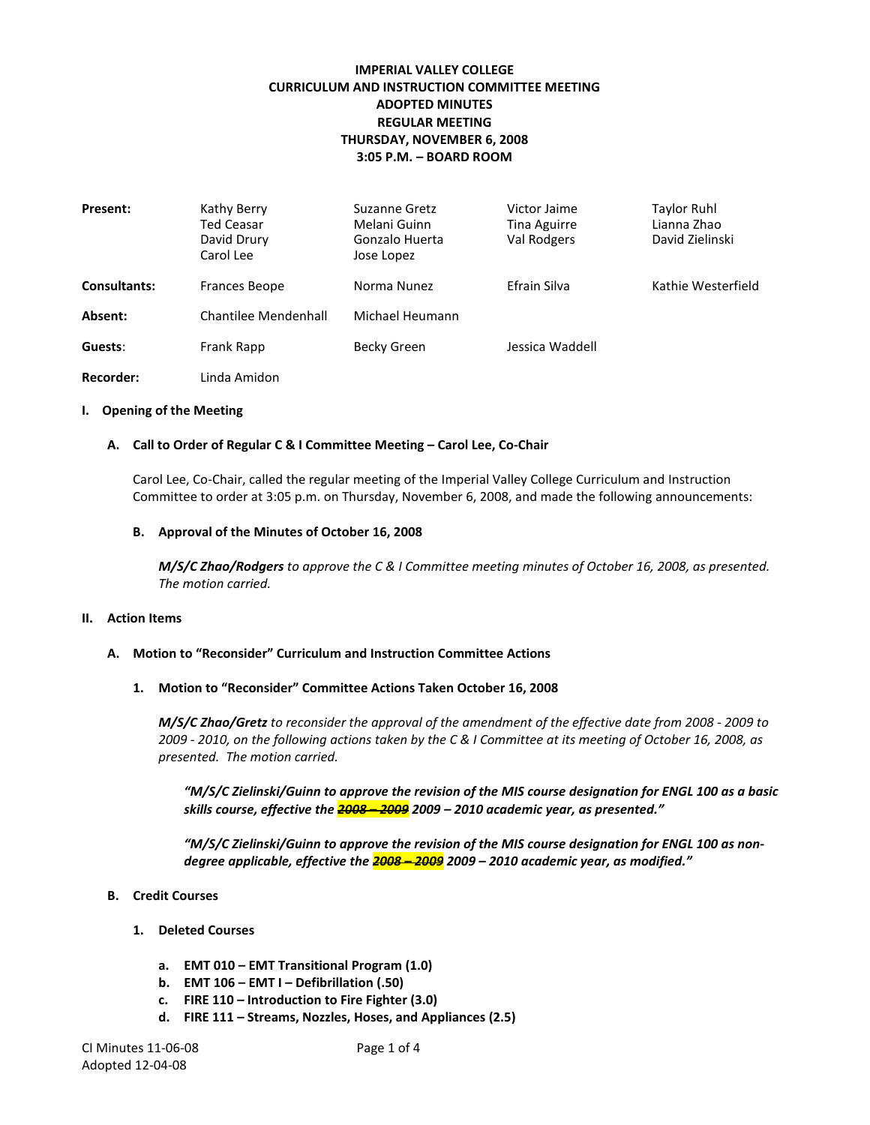## **IMPERIAL VALLEY COLLEGE CURRICULUM AND INSTRUCTION COMMITTEE MEETING ADOPTED MINUTES REGULAR MEETING THURSDAY, NOVEMBER 6, 2008 3:05 P.M. – BOARD ROOM**

| Present:            | Kathy Berry<br><b>Ted Ceasar</b><br>David Drury<br>Carol Lee | Suzanne Gretz<br>Melani Guinn<br>Gonzalo Huerta<br>Jose Lopez | Victor Jaime<br>Tina Aguirre<br>Val Rodgers | <b>Taylor Ruhl</b><br>Lianna Zhao<br>David Zielinski |
|---------------------|--------------------------------------------------------------|---------------------------------------------------------------|---------------------------------------------|------------------------------------------------------|
| <b>Consultants:</b> | <b>Frances Beope</b>                                         | Norma Nunez                                                   | Efrain Silva                                | Kathie Westerfield                                   |
| Absent:             | Chantilee Mendenhall                                         | Michael Heumann                                               |                                             |                                                      |
| Guests:             | Frank Rapp                                                   | Becky Green                                                   | Jessica Waddell                             |                                                      |
| Recorder:           | Linda Amidon                                                 |                                                               |                                             |                                                      |

#### **I. Opening of the Meeting**

#### **A. Call to Order of Regular C & I Committee Meeting – Carol Lee, Co-Chair**

Carol Lee, Co-Chair, called the regular meeting of the Imperial Valley College Curriculum and Instruction Committee to order at 3:05 p.m. on Thursday, November 6, 2008, and made the following announcements:

#### **B. Approval of the Minutes of October 16, 2008**

*M/S/C Zhao/Rodgers to approve the C & I Committee meeting minutes of October 16, 2008, as presented. The motion carried.*

#### **II. Action Items**

#### **A. Motion to "Reconsider" Curriculum and Instruction Committee Actions**

#### **1. Motion to "Reconsider" Committee Actions Taken October 16, 2008**

*M/S/C Zhao/Gretz to reconsider the approval of the amendment of the effective date from 2008 - 2009 to 2009 - 2010, on the following actions taken by the C & I Committee at its meeting of October 16, 2008, as presented. The motion carried.*

*"M/S/C Zielinski/Guinn to approve the revision of the MIS course designation for ENGL 100 as a basic skills course, effective the 2008 – 2009 2009 – 2010 academic year, as presented."*

*"M/S/C Zielinski/Guinn to approve the revision of the MIS course designation for ENGL 100 as nondegree applicable, effective the 2008 – 2009 2009 – 2010 academic year, as modified."*

- **B. Credit Courses**
	- **1. Deleted Courses**
		- **a. EMT 010 – EMT Transitional Program (1.0)**
		- **b. EMT 106 – EMT I – Defibrillation (.50)**
		- **c. FIRE 110 – Introduction to Fire Fighter (3.0)**
		- **d. FIRE 111 – Streams, Nozzles, Hoses, and Appliances (2.5)**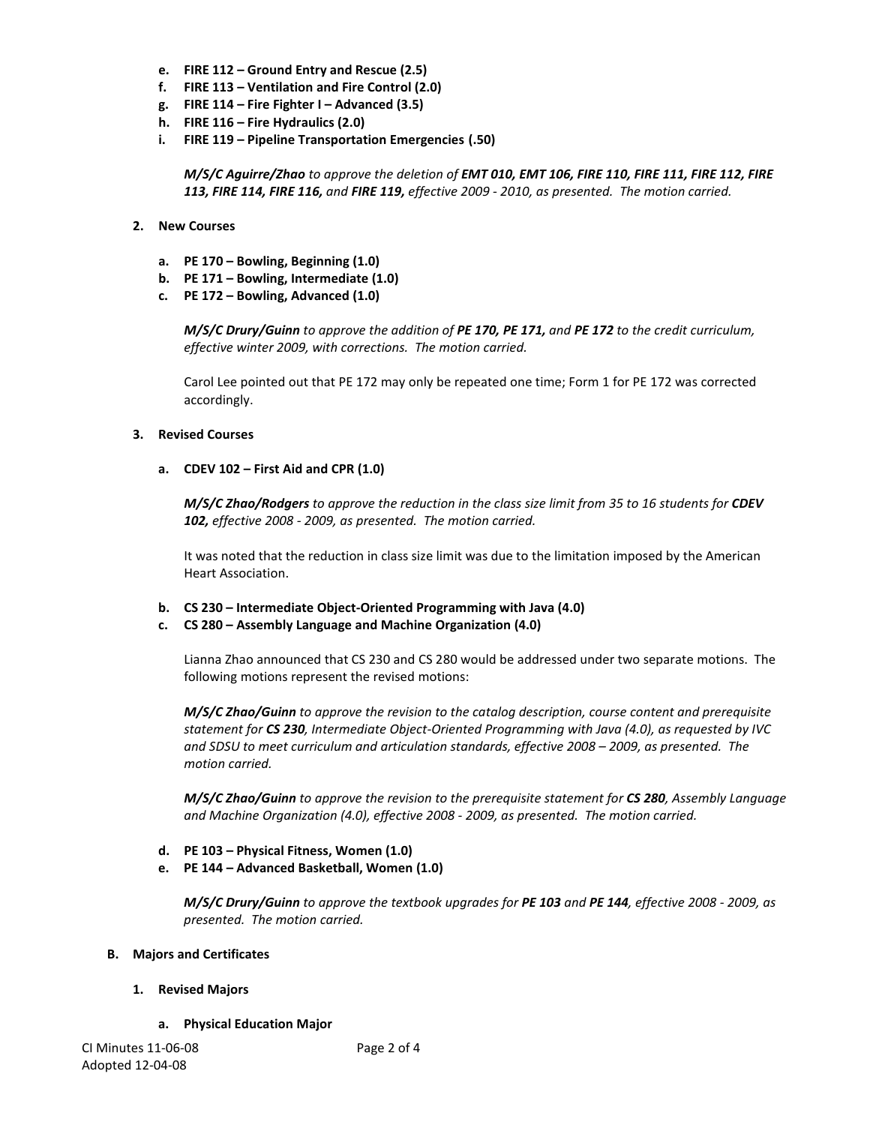- **e. FIRE 112 – Ground Entry and Rescue (2.5)**
- **f. FIRE 113 – Ventilation and Fire Control (2.0)**
- **g. FIRE 114 – Fire Fighter I – Advanced (3.5)**
- **h. FIRE 116 – Fire Hydraulics (2.0)**
- **i. FIRE 119 – Pipeline Transportation Emergencies (.50)**

*M/S/C Aguirre/Zhao to approve the deletion of EMT 010, EMT 106, FIRE 110, FIRE 111, FIRE 112, FIRE 113, FIRE 114, FIRE 116, and FIRE 119, effective 2009 - 2010, as presented. The motion carried.*

- **2. New Courses**
	- **a. PE 170 – Bowling, Beginning (1.0)**
	- **b. PE 171 – Bowling, Intermediate (1.0)**
	- **c. PE 172 – Bowling, Advanced (1.0)**

*M/S/C Drury/Guinn to approve the addition of PE 170, PE 171, and PE 172 to the credit curriculum, effective winter 2009, with corrections. The motion carried.*

Carol Lee pointed out that PE 172 may only be repeated one time; Form 1 for PE 172 was corrected accordingly.

### **3. Revised Courses**

**a. CDEV 102 – First Aid and CPR (1.0)**

*M/S/C Zhao/Rodgers to approve the reduction in the class size limit from 35 to 16 students for CDEV 102, effective 2008 - 2009, as presented. The motion carried.*

It was noted that the reduction in class size limit was due to the limitation imposed by the American Heart Association.

**b. CS 230 – Intermediate Object-Oriented Programming with Java (4.0)**

### **c. CS 280 – Assembly Language and Machine Organization (4.0)**

Lianna Zhao announced that CS 230 and CS 280 would be addressed under two separate motions. The following motions represent the revised motions:

*M/S/C Zhao/Guinn to approve the revision to the catalog description, course content and prerequisite statement for CS 230, Intermediate Object-Oriented Programming with Java (4.0), as requested by IVC and SDSU to meet curriculum and articulation standards, effective 2008 – 2009, as presented. The motion carried.*

*M/S/C Zhao/Guinn to approve the revision to the prerequisite statement for CS 280, Assembly Language and Machine Organization (4.0), effective 2008 - 2009, as presented. The motion carried.*

- **d. PE 103 – Physical Fitness, Women (1.0)**
- **e. PE 144 – Advanced Basketball, Women (1.0)**

*M/S/C Drury/Guinn to approve the textbook upgrades for PE 103 and PE 144, effective 2008 - 2009, as presented. The motion carried.*

### **B. Majors and Certificates**

- **1. Revised Majors**
	- **a. Physical Education Major**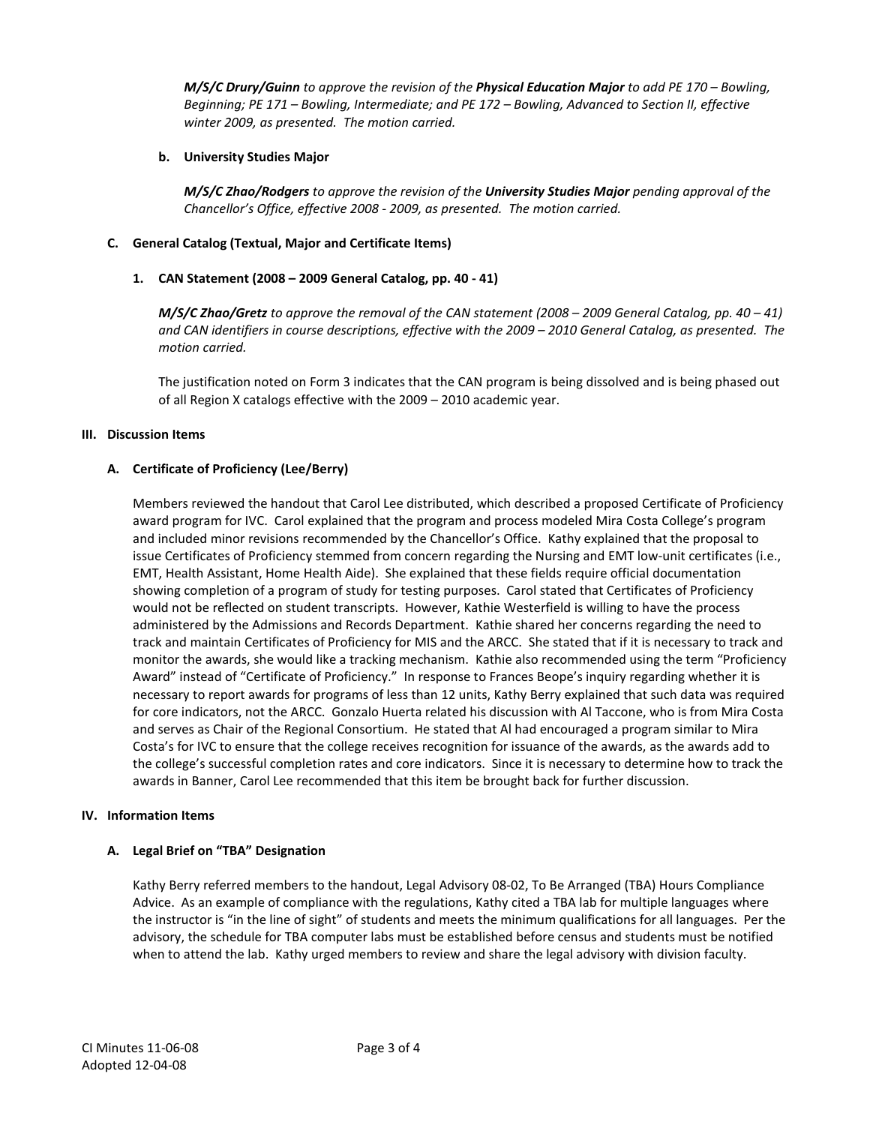*M/S/C Drury/Guinn to approve the revision of the Physical Education Major to add PE 170 – Bowling, Beginning; PE 171 – Bowling, Intermediate; and PE 172 – Bowling, Advanced to Section II, effective winter 2009, as presented. The motion carried.*

## **b. University Studies Major**

*M/S/C Zhao/Rodgers to approve the revision of the University Studies Major pending approval of the Chancellor's Office, effective 2008 - 2009, as presented. The motion carried.*

## **C. General Catalog (Textual, Major and Certificate Items)**

## **1. CAN Statement (2008 – 2009 General Catalog, pp. 40 - 41)**

*M/S/C Zhao/Gretz to approve the removal of the CAN statement (2008 – 2009 General Catalog, pp. 40 – 41) and CAN identifiers in course descriptions, effective with the 2009 – 2010 General Catalog, as presented. The motion carried.*

The justification noted on Form 3 indicates that the CAN program is being dissolved and is being phased out of all Region X catalogs effective with the 2009 – 2010 academic year.

### **III. Discussion Items**

## **A. Certificate of Proficiency (Lee/Berry)**

Members reviewed the handout that Carol Lee distributed, which described a proposed Certificate of Proficiency award program for IVC. Carol explained that the program and process modeled Mira Costa College's program and included minor revisions recommended by the Chancellor's Office. Kathy explained that the proposal to issue Certificates of Proficiency stemmed from concern regarding the Nursing and EMT low-unit certificates (i.e., EMT, Health Assistant, Home Health Aide). She explained that these fields require official documentation showing completion of a program of study for testing purposes. Carol stated that Certificates of Proficiency would not be reflected on student transcripts. However, Kathie Westerfield is willing to have the process administered by the Admissions and Records Department. Kathie shared her concerns regarding the need to track and maintain Certificates of Proficiency for MIS and the ARCC. She stated that if it is necessary to track and monitor the awards, she would like a tracking mechanism. Kathie also recommended using the term "Proficiency Award" instead of "Certificate of Proficiency." In response to Frances Beope's inquiry regarding whether it is necessary to report awards for programs of less than 12 units, Kathy Berry explained that such data was required for core indicators, not the ARCC. Gonzalo Huerta related his discussion with Al Taccone, who is from Mira Costa and serves as Chair of the Regional Consortium. He stated that Al had encouraged a program similar to Mira Costa's for IVC to ensure that the college receives recognition for issuance of the awards, as the awards add to the college's successful completion rates and core indicators. Since it is necessary to determine how to track the awards in Banner, Carol Lee recommended that this item be brought back for further discussion.

### **IV. Information Items**

### **A. Legal Brief on "TBA" Designation**

Kathy Berry referred members to the handout, Legal Advisory 08-02, To Be Arranged (TBA) Hours Compliance Advice. As an example of compliance with the regulations, Kathy cited a TBA lab for multiple languages where the instructor is "in the line of sight" of students and meets the minimum qualifications for all languages. Per the advisory, the schedule for TBA computer labs must be established before census and students must be notified when to attend the lab. Kathy urged members to review and share the legal advisory with division faculty.